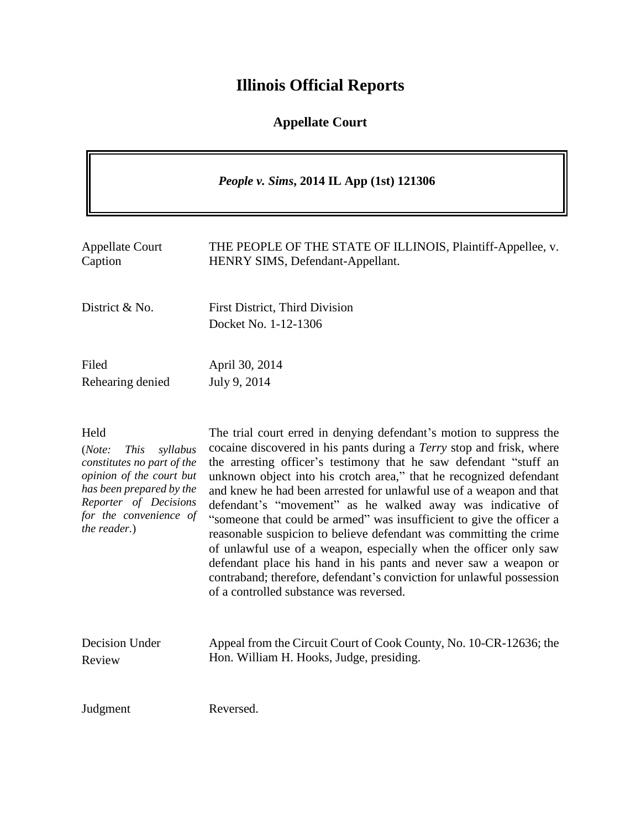# **Illinois Official Reports**

# **Appellate Court**

| <i>People v. Sims, 2014 IL App (1st) 121306</i>                                                                                                                                                    |                                                                                                                                                                                                                                                                                                                                                                                                                                                                                                                                                                                                                                                                                                                                                                                                                                       |
|----------------------------------------------------------------------------------------------------------------------------------------------------------------------------------------------------|---------------------------------------------------------------------------------------------------------------------------------------------------------------------------------------------------------------------------------------------------------------------------------------------------------------------------------------------------------------------------------------------------------------------------------------------------------------------------------------------------------------------------------------------------------------------------------------------------------------------------------------------------------------------------------------------------------------------------------------------------------------------------------------------------------------------------------------|
| <b>Appellate Court</b><br>Caption                                                                                                                                                                  | THE PEOPLE OF THE STATE OF ILLINOIS, Plaintiff-Appellee, v.<br>HENRY SIMS, Defendant-Appellant.                                                                                                                                                                                                                                                                                                                                                                                                                                                                                                                                                                                                                                                                                                                                       |
| District & No.                                                                                                                                                                                     | First District, Third Division<br>Docket No. 1-12-1306                                                                                                                                                                                                                                                                                                                                                                                                                                                                                                                                                                                                                                                                                                                                                                                |
| Filed<br>Rehearing denied                                                                                                                                                                          | April 30, 2014<br>July 9, 2014                                                                                                                                                                                                                                                                                                                                                                                                                                                                                                                                                                                                                                                                                                                                                                                                        |
| Held<br>(Note:<br><b>This</b><br>syllabus<br>constitutes no part of the<br>opinion of the court but<br>has been prepared by the<br>Reporter of Decisions<br>for the convenience of<br>the reader.) | The trial court erred in denying defendant's motion to suppress the<br>cocaine discovered in his pants during a Terry stop and frisk, where<br>the arresting officer's testimony that he saw defendant "stuff an<br>unknown object into his crotch area," that he recognized defendant<br>and knew he had been arrested for unlawful use of a weapon and that<br>defendant's "movement" as he walked away was indicative of<br>"someone that could be armed" was insufficient to give the officer a<br>reasonable suspicion to believe defendant was committing the crime<br>of unlawful use of a weapon, especially when the officer only saw<br>defendant place his hand in his pants and never saw a weapon or<br>contraband; therefore, defendant's conviction for unlawful possession<br>of a controlled substance was reversed. |
| <b>Decision Under</b><br>Review                                                                                                                                                                    | Appeal from the Circuit Court of Cook County, No. 10-CR-12636; the<br>Hon. William H. Hooks, Judge, presiding.                                                                                                                                                                                                                                                                                                                                                                                                                                                                                                                                                                                                                                                                                                                        |
| Judgment                                                                                                                                                                                           | Reversed.                                                                                                                                                                                                                                                                                                                                                                                                                                                                                                                                                                                                                                                                                                                                                                                                                             |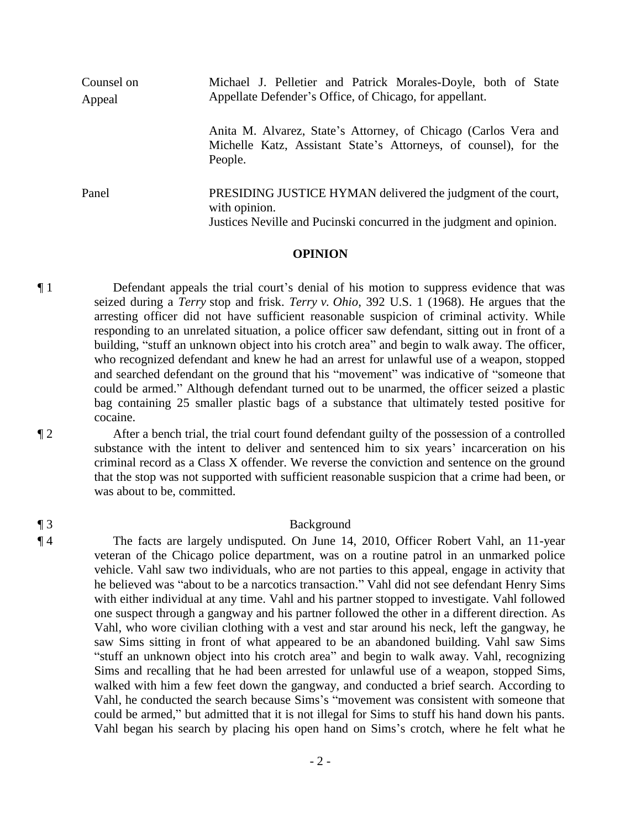| Counsel on<br>Appeal | Michael J. Pelletier and Patrick Morales-Doyle, both of State<br>Appellate Defender's Office, of Chicago, for appellant.                              |
|----------------------|-------------------------------------------------------------------------------------------------------------------------------------------------------|
|                      | Anita M. Alvarez, State's Attorney, of Chicago (Carlos Vera and<br>Michelle Katz, Assistant State's Attorneys, of counsel), for the<br>People.        |
| Panel                | PRESIDING JUSTICE HYMAN delivered the judgment of the court,<br>with opinion.<br>Justices Neville and Pucinski concurred in the judgment and opinion. |

#### **OPINION**

¶ 1 Defendant appeals the trial court's denial of his motion to suppress evidence that was seized during a *Terry* stop and frisk. *Terry v. Ohio*, 392 U.S. 1 (1968). He argues that the arresting officer did not have sufficient reasonable suspicion of criminal activity. While responding to an unrelated situation, a police officer saw defendant, sitting out in front of a building, "stuff an unknown object into his crotch area" and begin to walk away. The officer, who recognized defendant and knew he had an arrest for unlawful use of a weapon, stopped and searched defendant on the ground that his "movement" was indicative of "someone that could be armed." Although defendant turned out to be unarmed, the officer seized a plastic bag containing 25 smaller plastic bags of a substance that ultimately tested positive for cocaine.

¶ 2 After a bench trial, the trial court found defendant guilty of the possession of a controlled substance with the intent to deliver and sentenced him to six years' incarceration on his criminal record as a Class X offender. We reverse the conviction and sentence on the ground that the stop was not supported with sufficient reasonable suspicion that a crime had been, or was about to be, committed.

## ¶ 3 Background

¶ 4 The facts are largely undisputed. On June 14, 2010, Officer Robert Vahl, an 11-year veteran of the Chicago police department, was on a routine patrol in an unmarked police vehicle. Vahl saw two individuals, who are not parties to this appeal, engage in activity that he believed was "about to be a narcotics transaction." Vahl did not see defendant Henry Sims with either individual at any time. Vahl and his partner stopped to investigate. Vahl followed one suspect through a gangway and his partner followed the other in a different direction. As Vahl, who wore civilian clothing with a vest and star around his neck, left the gangway, he saw Sims sitting in front of what appeared to be an abandoned building. Vahl saw Sims "stuff an unknown object into his crotch area" and begin to walk away. Vahl, recognizing Sims and recalling that he had been arrested for unlawful use of a weapon, stopped Sims, walked with him a few feet down the gangway, and conducted a brief search. According to Vahl, he conducted the search because Sims's "movement was consistent with someone that could be armed," but admitted that it is not illegal for Sims to stuff his hand down his pants. Vahl began his search by placing his open hand on Sims's crotch, where he felt what he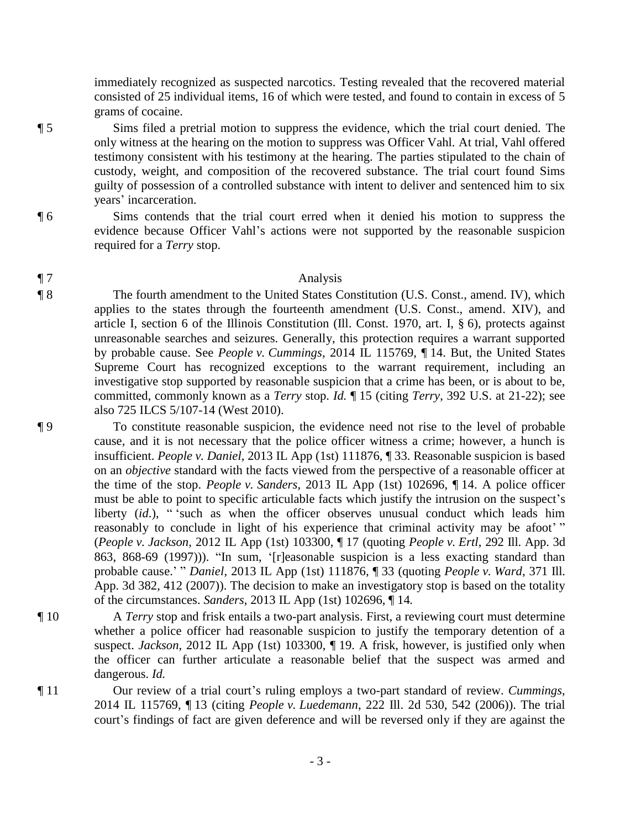immediately recognized as suspected narcotics. Testing revealed that the recovered material consisted of 25 individual items, 16 of which were tested, and found to contain in excess of 5 grams of cocaine.

¶ 5 Sims filed a pretrial motion to suppress the evidence, which the trial court denied. The only witness at the hearing on the motion to suppress was Officer Vahl. At trial, Vahl offered testimony consistent with his testimony at the hearing. The parties stipulated to the chain of custody, weight, and composition of the recovered substance. The trial court found Sims guilty of possession of a controlled substance with intent to deliver and sentenced him to six years' incarceration.

¶ 6 Sims contends that the trial court erred when it denied his motion to suppress the evidence because Officer Vahl's actions were not supported by the reasonable suspicion required for a *Terry* stop.

### ¶ 7 Analysis

¶ 8 The fourth amendment to the United States Constitution (U.S. Const., amend. IV), which applies to the states through the fourteenth amendment (U.S. Const., amend. XIV), and article I, section 6 of the Illinois Constitution (Ill. Const. 1970, art. I, § 6), protects against unreasonable searches and seizures. Generally, this protection requires a warrant supported by probable cause. See *People v. Cummings*, 2014 IL 115769, ¶ 14. But, the United States Supreme Court has recognized exceptions to the warrant requirement, including an investigative stop supported by reasonable suspicion that a crime has been, or is about to be, committed, commonly known as a *Terry* stop. *Id.* ¶ 15 (citing *Terry*, 392 U.S. at 21-22); see also 725 ILCS 5/107-14 (West 2010).

¶ 9 To constitute reasonable suspicion, the evidence need not rise to the level of probable cause, and it is not necessary that the police officer witness a crime; however, a hunch is insufficient. *People v. Daniel*, 2013 IL App (1st) 111876, ¶ 33. Reasonable suspicion is based on an *objective* standard with the facts viewed from the perspective of a reasonable officer at the time of the stop. *People v. Sanders*, 2013 IL App (1st) 102696, ¶ 14. A police officer must be able to point to specific articulable facts which justify the intrusion on the suspect's liberty (*id*.), "<sup>2</sup> such as when the officer observes unusual conduct which leads him reasonably to conclude in light of his experience that criminal activity may be afoot'" (*People v. Jackson*, 2012 IL App (1st) 103300, ¶ 17 (quoting *People v. Ertl*, 292 Ill. App. 3d 863, 868-69 (1997))). "In sum, '[r]easonable suspicion is a less exacting standard than probable cause.' " *Daniel*, 2013 IL App (1st) 111876, ¶ 33 (quoting *People v. Ward*, 371 Ill. App. 3d 382, 412 (2007)). The decision to make an investigatory stop is based on the totality of the circumstances. *Sanders*, 2013 IL App (1st) 102696, ¶ 14*.*

- ¶ 10 A *Terry* stop and frisk entails a two-part analysis. First, a reviewing court must determine whether a police officer had reasonable suspicion to justify the temporary detention of a suspect. *Jackson*, 2012 IL App (1st) 103300, ¶ 19. A frisk, however, is justified only when the officer can further articulate a reasonable belief that the suspect was armed and dangerous. *Id.*
- ¶ 11 Our review of a trial court's ruling employs a two-part standard of review. *Cummings*, 2014 IL 115769, ¶ 13 (citing *People v. Luedemann*, 222 Ill. 2d 530, 542 (2006)). The trial court's findings of fact are given deference and will be reversed only if they are against the

- 3 -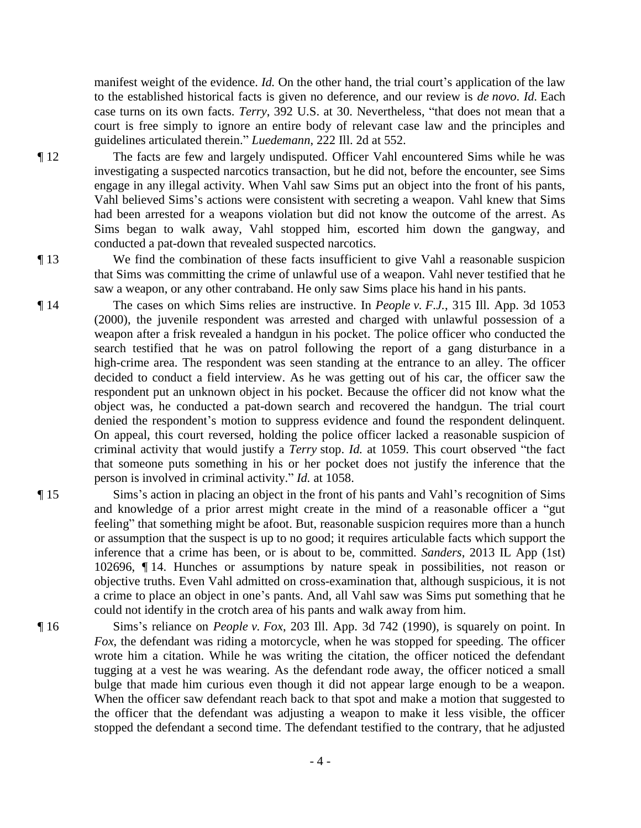manifest weight of the evidence. *Id.* On the other hand, the trial court's application of the law to the established historical facts is given no deference, and our review is *de novo*. *Id.* Each case turns on its own facts. *Terry*, 392 U.S. at 30. Nevertheless, "that does not mean that a court is free simply to ignore an entire body of relevant case law and the principles and guidelines articulated therein." *Luedemann*, 222 Ill. 2d at 552.

¶ 12 The facts are few and largely undisputed. Officer Vahl encountered Sims while he was investigating a suspected narcotics transaction, but he did not, before the encounter, see Sims engage in any illegal activity. When Vahl saw Sims put an object into the front of his pants, Vahl believed Sims's actions were consistent with secreting a weapon. Vahl knew that Sims had been arrested for a weapons violation but did not know the outcome of the arrest. As Sims began to walk away, Vahl stopped him, escorted him down the gangway, and conducted a pat-down that revealed suspected narcotics.

¶ 13 We find the combination of these facts insufficient to give Vahl a reasonable suspicion that Sims was committing the crime of unlawful use of a weapon. Vahl never testified that he saw a weapon, or any other contraband. He only saw Sims place his hand in his pants.

¶ 14 The cases on which Sims relies are instructive. In *People v. F.J.*, 315 Ill. App. 3d 1053 (2000), the juvenile respondent was arrested and charged with unlawful possession of a weapon after a frisk revealed a handgun in his pocket. The police officer who conducted the search testified that he was on patrol following the report of a gang disturbance in a high-crime area. The respondent was seen standing at the entrance to an alley. The officer decided to conduct a field interview. As he was getting out of his car, the officer saw the respondent put an unknown object in his pocket. Because the officer did not know what the object was, he conducted a pat-down search and recovered the handgun. The trial court denied the respondent's motion to suppress evidence and found the respondent delinquent. On appeal, this court reversed, holding the police officer lacked a reasonable suspicion of criminal activity that would justify a *Terry* stop. *Id.* at 1059. This court observed "the fact that someone puts something in his or her pocket does not justify the inference that the person is involved in criminal activity." *Id.* at 1058.

- ¶ 15 Sims's action in placing an object in the front of his pants and Vahl's recognition of Sims and knowledge of a prior arrest might create in the mind of a reasonable officer a "gut feeling" that something might be afoot. But, reasonable suspicion requires more than a hunch or assumption that the suspect is up to no good; it requires articulable facts which support the inference that a crime has been, or is about to be, committed. *Sanders*, 2013 IL App (1st) 102696, ¶ 14. Hunches or assumptions by nature speak in possibilities, not reason or objective truths. Even Vahl admitted on cross-examination that, although suspicious, it is not a crime to place an object in one's pants. And, all Vahl saw was Sims put something that he could not identify in the crotch area of his pants and walk away from him.
- ¶ 16 Sims's reliance on *People v. Fox*, 203 Ill. App. 3d 742 (1990), is squarely on point. In *Fox*, the defendant was riding a motorcycle, when he was stopped for speeding. The officer wrote him a citation. While he was writing the citation, the officer noticed the defendant tugging at a vest he was wearing. As the defendant rode away, the officer noticed a small bulge that made him curious even though it did not appear large enough to be a weapon. When the officer saw defendant reach back to that spot and make a motion that suggested to the officer that the defendant was adjusting a weapon to make it less visible, the officer stopped the defendant a second time. The defendant testified to the contrary, that he adjusted